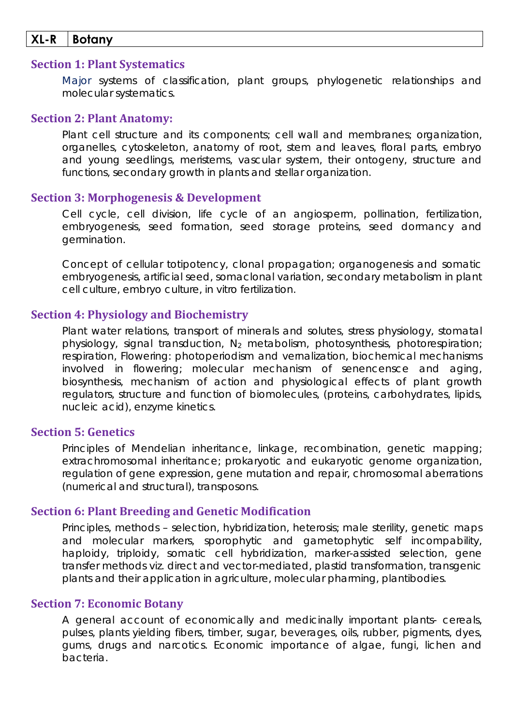## **XL-R Botany**

### **Section 1: Plant Systematics**

Major systems of classification, plant groups, phylogenetic relationships and molecular systematics.

#### **Section 2: Plant Anatomy:**

Plant cell structure and its components; cell wall and membranes; organization, organelles, cytoskeleton, anatomy of root, stem and leaves, floral parts, embryo and young seedlings, meristems, vascular system, their ontogeny, structure and functions, secondary growth in plants and stellar organization.

#### **Section 3: Morphogenesis & Development**

Cell cycle, cell division, life cycle of an angiosperm, pollination, fertilization, embryogenesis, seed formation, seed storage proteins, seed dormancy and germination.

Concept of cellular totipotency, clonal propagation; organogenesis and somatic embryogenesis, artificial seed, somaclonal variation, secondary metabolism in plant cell culture, embryo culture, *in vitro* fertilization.

### **Section 4: Physiology and Biochemistry**

Plant water relations, transport of minerals and solutes, stress physiology, stomatal physiology, signal transduction, N2 metabolism, photosynthesis, photorespiration; respiration, Flowering: photoperiodism and vernalization, biochemical mechanisms involved in flowering; molecular mechanism of senencensce and aging, biosynthesis, mechanism of action and physiological effects of plant growth regulators, structure and function of biomolecules, (proteins, carbohydrates, lipids, nucleic acid), enzyme kinetics.

## **Section 5: Genetics**

Principles of Mendelian inheritance, linkage, recombination, genetic mapping; extrachromosomal inheritance; prokaryotic and eukaryotic genome organization, regulation of gene expression, gene mutation and repair, chromosomal aberrations (numerical and structural), transposons.

#### **Section 6: Plant Breeding and Genetic Modification**

Principles, methods – selection, hybridization, heterosis; male sterility, genetic maps and molecular markers, sporophytic and gametophytic self incompability, haploidy, triploidy, somatic cell hybridization, marker-assisted selection, gene transfer methods viz. direct and vector-mediated, plastid transformation, transgenic plants and their application in agriculture, molecular pharming, plantibodies.

### **Section 7: Economic Botany**

A general account of economically and medicinally important plants- cereals, pulses, plants yielding fibers, timber, sugar, beverages, oils, rubber, pigments, dyes, gums, drugs and narcotics. Economic importance of algae, fungi, lichen and bacteria.